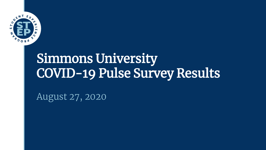

# Simmons University COVID-19 Pulse Survey Results

August 27, 2020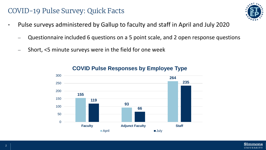### COVID-19 Pulse Survey: Quick Facts

- Pulse surveys administered by Gallup to faculty and staff in April and July 2020
	- Questionnaire included 6 questions on a 5 point scale, and 2 open response questions
	- Short, <5 minute surveys were in the field for one week



#### **COVID Pulse Responses by Employee Type**

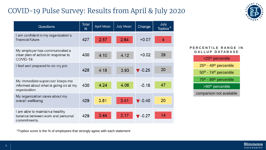## COVID-19 Pulse Survey: Results from April & July 2020



| Questions                                                                                  | <b>Total</b><br>$\mathsf{N}$ | <b>April Mean</b> | <b>July Mean</b> | Change                     | July<br><b>Topbox</b> |
|--------------------------------------------------------------------------------------------|------------------------------|-------------------|------------------|----------------------------|-----------------------|
| I am confident in my organization's<br>financial future.                                   | 427                          | 2.57              | 2.64             | $+0.07$                    | 4                     |
| My employer has communicated a<br>clear plan of action in response to<br>COVID-19.         | 430                          | 4.10              | 4.12             | $+0.02$                    | 39                    |
| I feel well prepared to do my job.                                                         | 428                          | 4.18              | 3.93             | $\blacksquare$ -0.25       | 30                    |
| My immediate supervisor keeps me<br>informed about what is going on at my<br>organization. | 430                          | 4.24              | 4.06             | $-0.18$                    | 47                    |
| My organization cares about my<br>overall wellbeing                                        | 429                          | 3.81              | 3.41             | $\blacktriangledown$ -0.40 | 20                    |
| I am able to maintain a healthy<br>balance between work and personal<br>commitments.       | 429                          | 3.44              | 3.17             | $\blacktriangledown$ -0.27 | 14                    |

#### **PERCENTILE RANGE IN G A L L U P D A T A B A S E**

| <25 <sup>th</sup> percentile                   |  |  |  |  |  |
|------------------------------------------------|--|--|--|--|--|
| 25th - 49th percentile                         |  |  |  |  |  |
| 50th - 74th percentile                         |  |  |  |  |  |
| 75 <sup>th</sup> - 89 <sup>th</sup> percentile |  |  |  |  |  |
| >90 <sup>th</sup> percentile                   |  |  |  |  |  |
| comparison not available                       |  |  |  |  |  |
|                                                |  |  |  |  |  |

\*Topbox score is the % of employees that strongly agree with each statement